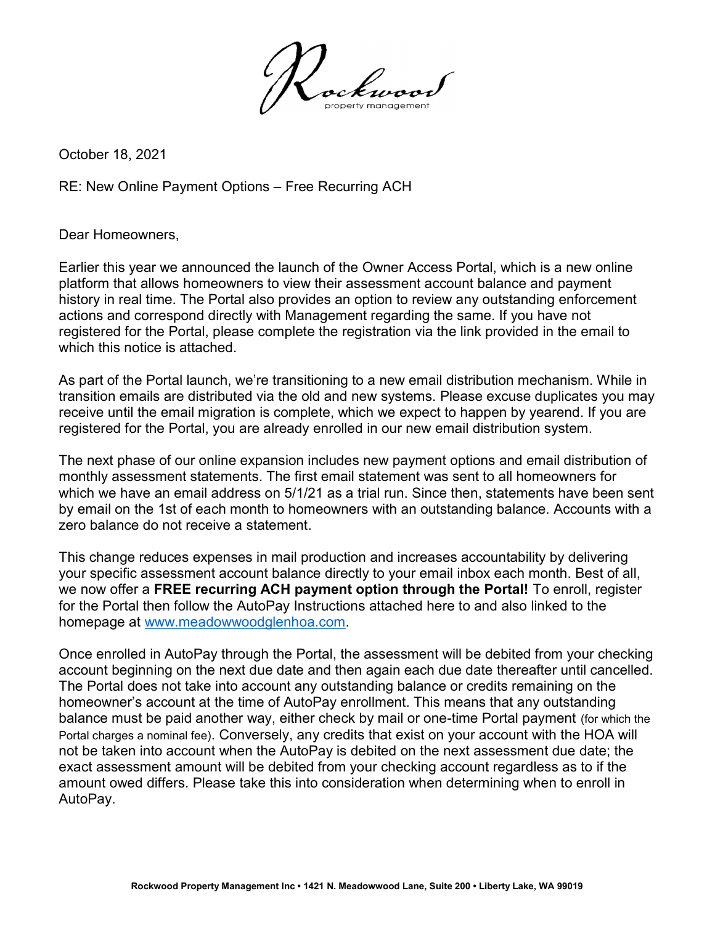

October 18, 2021

RE: New Online Payment Options – Free Recurring ACH

Dear Homeowners,

Earlier this year we announced the launch of the Owner Access Portal, which is a new online platform that allows homeowners to view their assessment account balance and payment history in real time. The Portal also provides an option to review any outstanding enforcement actions and correspond directly with Management regarding the same. If you have not registered for the Portal, please complete the registration via the link provided in the email to which this notice is attached.

As part of the Portal launch, we're transitioning to a new email distribution mechanism. While in transition emails are distributed via the old and new systems. Please excuse duplicates you may receive until the email migration is complete, which we expect to happen by yearend. If you are registered for the Portal, you are already enrolled in our new email distribution system.

The next phase of our online expansion includes new payment options and email distribution of monthly assessment statements. The first email statement was sent to all homeowners for which we have an email address on 5/1/21 as a trial run. Since then, statements have been sent by email on the 1st of each month to homeowners with an outstanding balance. Accounts with a zero balance do not receive a statement.

This change reduces expenses in mail production and increases accountability by delivering your specific assessment account balance directly to your email inbox each month. Best of all, we now offer a FREE recurring ACH payment option through the Portal! To enroll, register for the Portal then follow the AutoPay Instructions attached here to and also linked to the homepage at www.meadowwoodglenhoa.com.

Once enrolled in AutoPay through the Portal, the assessment will be debited from your checking account beginning on the next due date and then again each due date thereafter until cancelled. The Portal does not take into account any outstanding balance or credits remaining on the homeowner's account at the time of AutoPay enrollment. This means that any outstanding balance must be paid another way, either check by mail or one-time Portal payment (for which the Portal charges a nominal fee). Conversely, any credits that exist on your account with the HOA will not be taken into account when the AutoPay is debited on the next assessment due date; the exact assessment amount will be debited from your checking account regardless as to if the amount owed differs. Please take this into consideration when determining when to enroll in AutoPay.